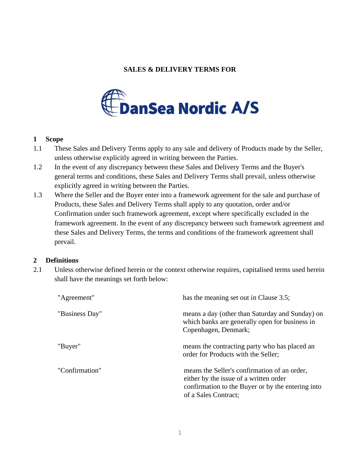# **SALES & DELIVERY TERMS FOR**



### **1 Scope**

- 1.1 These Sales and Delivery Terms apply to any sale and delivery of Products made by the Seller, unless otherwise explicitly agreed in writing between the Parties.
- 1.2 In the event of any discrepancy between these Sales and Delivery Terms and the Buyer's general terms and conditions, these Sales and Delivery Terms shall prevail, unless otherwise explicitly agreed in writing between the Parties.
- <span id="page-0-0"></span>1.3 Where the Seller and the Buyer enter into a framework agreement for the sale and purchase of Products, these Sales and Delivery Terms shall apply to any quotation, order and/or Confirmation under such framework agreement, except where specifically excluded in the framework agreement. In the event of any discrepancy between such framework agreement and these Sales and Delivery Terms, the terms and conditions of the framework agreement shall prevail.

## **2 Definitions**

2.1 Unless otherwise defined herein or the context otherwise requires, capitalised terms used herein shall have the meanings set forth below:

| "Agreement"    | has the meaning set out in Clause 3.5;                                                                                                                              |
|----------------|---------------------------------------------------------------------------------------------------------------------------------------------------------------------|
| "Business Day" | means a day (other than Saturday and Sunday) on<br>which banks are generally open for business in<br>Copenhagen, Denmark;                                           |
| "Buyer"        | means the contracting party who has placed an<br>order for Products with the Seller;                                                                                |
| "Confirmation" | means the Seller's confirmation of an order,<br>either by the issue of a written order<br>confirmation to the Buyer or by the entering into<br>of a Sales Contract; |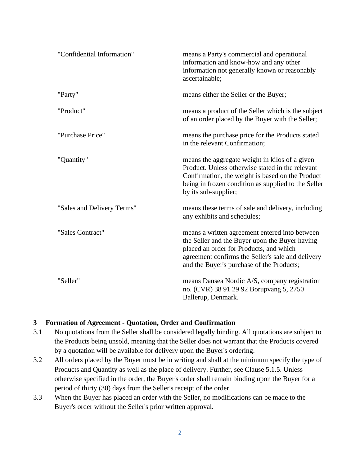| "Confidential Information" | means a Party's commercial and operational<br>information and know-how and any other<br>information not generally known or reasonably<br>ascertainable;                                                                                       |
|----------------------------|-----------------------------------------------------------------------------------------------------------------------------------------------------------------------------------------------------------------------------------------------|
| "Party"                    | means either the Seller or the Buyer;                                                                                                                                                                                                         |
| "Product"                  | means a product of the Seller which is the subject<br>of an order placed by the Buyer with the Seller;                                                                                                                                        |
| "Purchase Price"           | means the purchase price for the Products stated<br>in the relevant Confirmation;                                                                                                                                                             |
| "Quantity"                 | means the aggregate weight in kilos of a given<br>Product. Unless otherwise stated in the relevant<br>Confirmation, the weight is based on the Product<br>being in frozen condition as supplied to the Seller<br>by its sub-supplier;         |
| "Sales and Delivery Terms" | means these terms of sale and delivery, including<br>any exhibits and schedules;                                                                                                                                                              |
| "Sales Contract"           | means a written agreement entered into between<br>the Seller and the Buyer upon the Buyer having<br>placed an order for Products, and which<br>agreement confirms the Seller's sale and delivery<br>and the Buyer's purchase of the Products; |
| "Seller"                   | means Dansea Nordic A/S, company registration<br>no. (CVR) 38 91 29 92 Borupvang 5, 2750<br>Ballerup, Denmark.                                                                                                                                |

#### **3 Formation of Agreement - Quotation, Order and Confirmation**

- 3.1 No quotations from the Seller shall be considered legally binding. All quotations are subject to the Products being unsold, meaning that the Seller does not warrant that the Products covered by a quotation will be available for delivery upon the Buyer's ordering.
- 3.2 All orders placed by the Buyer must be in writing and shall at the minimum specify the type of Products and Quantity as well as the place of delivery. Further, see Clause [5.1.5.](#page-2-1) Unless otherwise specified in the order, the Buyer's order shall remain binding upon the Buyer for a period of thirty (30) days from the Seller's receipt of the order.
- 3.3 When the Buyer has placed an order with the Seller, no modifications can be made to the Buyer's order without the Seller's prior written approval.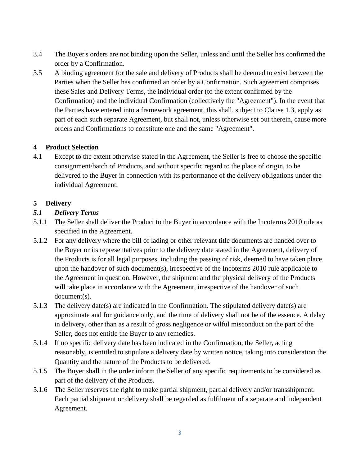- 3.4 The Buyer's orders are not binding upon the Seller, unless and until the Seller has confirmed the order by a Confirmation.
- <span id="page-2-0"></span>3.5 A binding agreement for the sale and delivery of Products shall be deemed to exist between the Parties when the Seller has confirmed an order by a Confirmation. Such agreement comprises these Sales and Delivery Terms, the individual order (to the extent confirmed by the Confirmation) and the individual Confirmation (collectively the "Agreement"). In the event that the Parties have entered into a framework agreement, this shall, subject to Clause [1.3,](#page-0-0) apply as part of each such separate Agreement, but shall not, unless otherwise set out therein, cause more orders and Confirmations to constitute one and the same "Agreement".

# **4 Product Selection**

4.1 Except to the extent otherwise stated in the Agreement, the Seller is free to choose the specific consignment/batch of Products, and without specific regard to the place of origin, to be delivered to the Buyer in connection with its performance of the delivery obligations under the individual Agreement.

## **5 Delivery**

## <span id="page-2-4"></span>*5.1 Delivery Terms*

- <span id="page-2-3"></span>5.1.1 The Seller shall deliver the Product to the Buyer in accordance with the Incoterms 2010 rule as specified in the Agreement.
- 5.1.2 For any delivery where the bill of lading or other relevant title documents are handed over to the Buyer or its representatives prior to the delivery date stated in the Agreement, delivery of the Products is for all legal purposes, including the passing of risk, deemed to have taken place upon the handover of such document(s), irrespective of the Incoterms 2010 rule applicable to the Agreement in question. However, the shipment and the physical delivery of the Products will take place in accordance with the Agreement, irrespective of the handover of such document(s).
- 5.1.3 The delivery date(s) are indicated in the Confirmation. The stipulated delivery date(s) are approximate and for guidance only, and the time of delivery shall not be of the essence. A delay in delivery, other than as a result of gross negligence or wilful misconduct on the part of the Seller, does not entitle the Buyer to any remedies.
- 5.1.4 If no specific delivery date has been indicated in the Confirmation, the Seller, acting reasonably, is entitled to stipulate a delivery date by written notice, taking into consideration the Quantity and the nature of the Products to be delivered.
- <span id="page-2-1"></span>5.1.5 The Buyer shall in the order inform the Seller of any specific requirements to be considered as part of the delivery of the Products.
- <span id="page-2-2"></span>5.1.6 The Seller reserves the right to make partial shipment, partial delivery and/or transshipment. Each partial shipment or delivery shall be regarded as fulfilment of a separate and independent Agreement.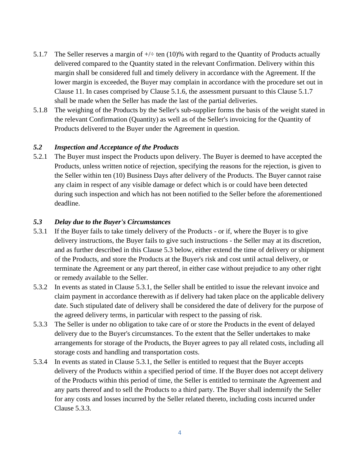- <span id="page-3-0"></span>5.1.7 The Seller reserves a margin of  $+\neq$  ten (10)% with regard to the Quantity of Products actually delivered compared to the Quantity stated in the relevant Confirmation. Delivery within this margin shall be considered full and timely delivery in accordance with the Agreement. If the lower margin is exceeded, the Buyer may complain in accordance with the procedure set out in Clause [11.](#page-5-0) In cases comprised by Clause [5.1.6,](#page-2-2) the assessment pursuant to this Clause [5.1.7](#page-3-0) shall be made when the Seller has made the last of the partial deliveries.
- 5.1.8 The weighing of the Products by the Seller's sub-supplier forms the basis of the weight stated in the relevant Confirmation (Quantity) as well as of the Seller's invoicing for the Quantity of Products delivered to the Buyer under the Agreement in question.

#### <span id="page-3-4"></span>*5.2 Inspection and Acceptance of the Products*

5.2.1 The Buyer must inspect the Products upon delivery. The Buyer is deemed to have accepted the Products, unless written notice of rejection, specifying the reasons for the rejection, is given to the Seller within ten (10) Business Days after delivery of the Products. The Buyer cannot raise any claim in respect of any visible damage or defect which is or could have been detected during such inspection and which has not been notified to the Seller before the aforementioned deadline.

#### <span id="page-3-1"></span>*5.3 Delay due to the Buyer's Circumstances*

- <span id="page-3-2"></span>5.3.1 If the Buyer fails to take timely delivery of the Products - or if, where the Buyer is to give delivery instructions, the Buyer fails to give such instructions - the Seller may at its discretion, and as further described in this Clause [5.3](#page-3-1) below, either extend the time of delivery or shipment of the Products, and store the Products at the Buyer's risk and cost until actual delivery, or terminate the Agreement or any part thereof, in either case without prejudice to any other right or remedy available to the Seller.
- 5.3.2 In events as stated in Clause [5.3.1,](#page-3-2) the Seller shall be entitled to issue the relevant invoice and claim payment in accordance therewith as if delivery had taken place on the applicable delivery date. Such stipulated date of delivery shall be considered the date of delivery for the purpose of the agreed delivery terms, in particular with respect to the passing of risk.
- <span id="page-3-3"></span>5.3.3 The Seller is under no obligation to take care of or store the Products in the event of delayed delivery due to the Buyer's circumstances. To the extent that the Seller undertakes to make arrangements for storage of the Products, the Buyer agrees to pay all related costs, including all storage costs and handling and transportation costs.
- 5.3.4 In events as stated in Clause [5.3.1,](#page-3-2) the Seller is entitled to request that the Buyer accepts delivery of the Products within a specified period of time. If the Buyer does not accept delivery of the Products within this period of time, the Seller is entitled to terminate the Agreement and any parts thereof and to sell the Products to a third party. The Buyer shall indemnify the Seller for any costs and losses incurred by the Seller related thereto, including costs incurred under Clause [5.3.3.](#page-3-3)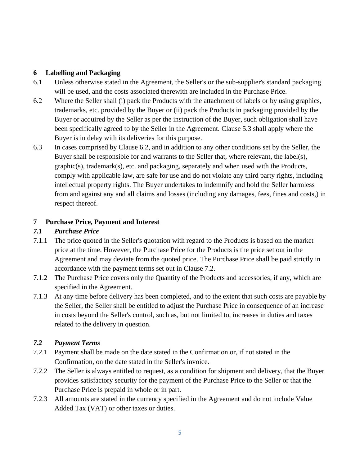# **6 Labelling and Packaging**

- 6.1 Unless otherwise stated in the Agreement, the Seller's or the sub-supplier's standard packaging will be used, and the costs associated therewith are included in the Purchase Price.
- <span id="page-4-0"></span>6.2 Where the Seller shall (i) pack the Products with the attachment of labels or by using graphics, trademarks, etc. provided by the Buyer or (ii) pack the Products in packaging provided by the Buyer or acquired by the Seller as per the instruction of the Buyer, such obligation shall have been specifically agreed to by the Seller in the Agreement. Clause [5.3](#page-3-1) shall apply where the Buyer is in delay with its deliveries for this purpose.
- 6.3 In cases comprised by Clause [6.2,](#page-4-0) and in addition to any other conditions set by the Seller, the Buyer shall be responsible for and warrants to the Seller that, where relevant, the label(s), graphic(s), trademark(s), etc. and packaging, separately and when used with the Products, comply with applicable law, are safe for use and do not violate any third party rights, including intellectual property rights. The Buyer undertakes to indemnify and hold the Seller harmless from and against any and all claims and losses (including any damages, fees, fines and costs,) in respect thereof.

# **7 Purchase Price, Payment and Interest**

# *7.1 Purchase Price*

- 7.1.1 The price quoted in the Seller's quotation with regard to the Products is based on the market price at the time. However, the Purchase Price for the Products is the price set out in the Agreement and may deviate from the quoted price. The Purchase Price shall be paid strictly in accordance with the payment terms set out in Clause [7.2.](#page-4-1)
- 7.1.2 The Purchase Price covers only the Quantity of the Products and accessories, if any, which are specified in the Agreement.
- 7.1.3 At any time before delivery has been completed, and to the extent that such costs are payable by the Seller, the Seller shall be entitled to adjust the Purchase Price in consequence of an increase in costs beyond the Seller's control, such as, but not limited to, increases in duties and taxes related to the delivery in question.

## <span id="page-4-1"></span>*7.2 Payment Terms*

- 7.2.1 Payment shall be made on the date stated in the Confirmation or, if not stated in the Confirmation, on the date stated in the Seller's invoice.
- 7.2.2 The Seller is always entitled to request, as a condition for shipment and delivery, that the Buyer provides satisfactory security for the payment of the Purchase Price to the Seller or that the Purchase Price is prepaid in whole or in part.
- 7.2.3 All amounts are stated in the currency specified in the Agreement and do not include Value Added Tax (VAT) or other taxes or duties.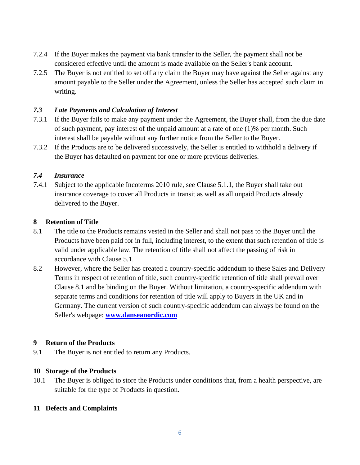- 7.2.4 If the Buyer makes the payment via bank transfer to the Seller, the payment shall not be considered effective until the amount is made available on the Seller's bank account.
- 7.2.5 The Buyer is not entitled to set off any claim the Buyer may have against the Seller against any amount payable to the Seller under the Agreement, unless the Seller has accepted such claim in writing.

## *7.3 Late Payments and Calculation of Interest*

- 7.3.1 If the Buyer fails to make any payment under the Agreement, the Buyer shall, from the due date of such payment, pay interest of the unpaid amount at a rate of one (1)% per month. Such interest shall be payable without any further notice from the Seller to the Buyer.
- 7.3.2 If the Products are to be delivered successively, the Seller is entitled to withhold a delivery if the Buyer has defaulted on payment for one or more previous deliveries.

## *7.4 Insurance*

7.4.1 Subject to the applicable Incoterms 2010 rule, see Clause [5.1.1,](#page-2-3) the Buyer shall take out insurance coverage to cover all Products in transit as well as all unpaid Products already delivered to the Buyer.

### **8 Retention of Title**

- <span id="page-5-1"></span>8.1 The title to the Products remains vested in the Seller and shall not pass to the Buyer until the Products have been paid for in full, including interest, to the extent that such retention of title is valid under applicable law. The retention of title shall not affect the passing of risk in accordance with Clause [5.1.](#page-2-4)
- 8.2 However, where the Seller has created a country-specific addendum to these Sales and Delivery Terms in respect of retention of title, such country-specific retention of title shall prevail over Clause [8.1](#page-5-1) and be binding on the Buyer. Without limitation, a country-specific addendum with separate terms and conditions for retention of title will apply to Buyers in the UK and in Germany. The current version of such country-specific addendum can always be found on the Seller's webpage: **[www.danseanordic.com](http://www.danseanordic.com/)**

#### **9 Return of the Products**

9.1 The Buyer is not entitled to return any Products.

## **10 Storage of the Products**

10.1 The Buyer is obliged to store the Products under conditions that, from a health perspective, are suitable for the type of Products in question.

#### <span id="page-5-0"></span>**11 Defects and Complaints**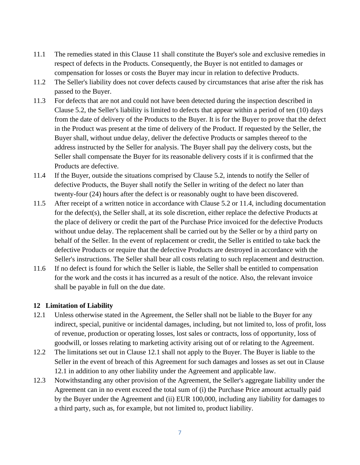- 11.1 The remedies stated in this Clause [11](#page-5-0) shall constitute the Buyer's sole and exclusive remedies in respect of defects in the Products. Consequently, the Buyer is not entitled to damages or compensation for losses or costs the Buyer may incur in relation to defective Products.
- 11.2 The Seller's liability does not cover defects caused by circumstances that arise after the risk has passed to the Buyer.
- 11.3 For defects that are not and could not have been detected during the inspection described in Clause [5.2,](#page-3-4) the Seller's liability is limited to defects that appear within a period of ten (10) days from the date of delivery of the Products to the Buyer. It is for the Buyer to prove that the defect in the Product was present at the time of delivery of the Product. If requested by the Seller, the Buyer shall, without undue delay, deliver the defective Products or samples thereof to the address instructed by the Seller for analysis. The Buyer shall pay the delivery costs, but the Seller shall compensate the Buyer for its reasonable delivery costs if it is confirmed that the Products are defective.
- <span id="page-6-0"></span>11.4 If the Buyer, outside the situations comprised by Clause [5.2,](#page-3-4) intends to notify the Seller of defective Products, the Buyer shall notify the Seller in writing of the defect no later than twenty-four (24) hours after the defect is or reasonably ought to have been discovered.
- 11.5 After receipt of a written notice in accordance with Clause [5.2](#page-3-4) or [11.4,](#page-6-0) including documentation for the defect(s), the Seller shall, at its sole discretion, either replace the defective Products at the place of delivery or credit the part of the Purchase Price invoiced for the defective Products without undue delay. The replacement shall be carried out by the Seller or by a third party on behalf of the Seller. In the event of replacement or credit, the Seller is entitled to take back the defective Products or require that the defective Products are destroyed in accordance with the Seller's instructions. The Seller shall bear all costs relating to such replacement and destruction.
- 11.6 If no defect is found for which the Seller is liable, the Seller shall be entitled to compensation for the work and the costs it has incurred as a result of the notice. Also, the relevant invoice shall be payable in full on the due date.

#### **12 Limitation of Liability**

- <span id="page-6-1"></span>12.1 Unless otherwise stated in the Agreement, the Seller shall not be liable to the Buyer for any indirect, special, punitive or incidental damages, including, but not limited to, loss of profit, loss of revenue, production or operating losses, lost sales or contracts, loss of opportunity, loss of goodwill, or losses relating to marketing activity arising out of or relating to the Agreement.
- 12.2 The limitations set out in Clause [12.1](#page-6-1) shall not apply to the Buyer. The Buyer is liable to the Seller in the event of breach of this Agreement for such damages and losses as set out in Clause [12.1](#page-6-1) in addition to any other liability under the Agreement and applicable law.
- 12.3 Notwithstanding any other provision of the Agreement, the Seller's aggregate liability under the Agreement can in no event exceed the total sum of (i) the Purchase Price amount actually paid by the Buyer under the Agreement and (ii) EUR 100,000, including any liability for damages to a third party, such as, for example, but not limited to, product liability.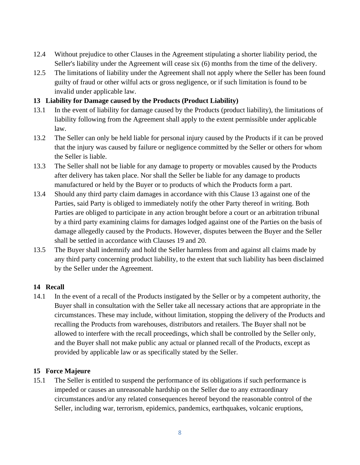- 12.4 Without prejudice to other Clauses in the Agreement stipulating a shorter liability period, the Seller's liability under the Agreement will cease six (6) months from the time of the delivery.
- 12.5 The limitations of liability under the Agreement shall not apply where the Seller has been found guilty of fraud or other wilful acts or gross negligence, or if such limitation is found to be invalid under applicable law.

## <span id="page-7-0"></span>**13 Liability for Damage caused by the Products (Product Liability)**

- 13.1 In the event of liability for damage caused by the Products (product liability), the limitations of liability following from the Agreement shall apply to the extent permissible under applicable law.
- 13.2 The Seller can only be held liable for personal injury caused by the Products if it can be proved that the injury was caused by failure or negligence committed by the Seller or others for whom the Seller is liable.
- 13.3 The Seller shall not be liable for any damage to property or movables caused by the Products after delivery has taken place. Nor shall the Seller be liable for any damage to products manufactured or held by the Buyer or to products of which the Products form a part.
- 13.4 Should any third party claim damages in accordance with this Clause [13](#page-7-0) against one of the Parties, said Party is obliged to immediately notify the other Party thereof in writing. Both Parties are obliged to participate in any action brought before a court or an arbitration tribunal by a third party examining claims for damages lodged against one of the Parties on the basis of damage allegedly caused by the Products. However, disputes between the Buyer and the Seller shall be settled in accordance with Clauses [19](#page-9-0) and [20.](#page-9-1)
- 13.5 The Buyer shall indemnify and hold the Seller harmless from and against all claims made by any third party concerning product liability, to the extent that such liability has been disclaimed by the Seller under the Agreement.

## **14 Recall**

14.1 In the event of a recall of the Products instigated by the Seller or by a competent authority, the Buyer shall in consultation with the Seller take all necessary actions that are appropriate in the circumstances. These may include, without limitation, stopping the delivery of the Products and recalling the Products from warehouses, distributors and retailers. The Buyer shall not be allowed to interfere with the recall proceedings, which shall be controlled by the Seller only, and the Buyer shall not make public any actual or planned recall of the Products, except as provided by applicable law or as specifically stated by the Seller.

## **15 Force Majeure**

<span id="page-7-1"></span>15.1 The Seller is entitled to suspend the performance of its obligations if such performance is impeded or causes an unreasonable hardship on the Seller due to any extraordinary circumstances and/or any related consequences hereof beyond the reasonable control of the Seller, including war, terrorism, epidemics, pandemics, earthquakes, volcanic eruptions,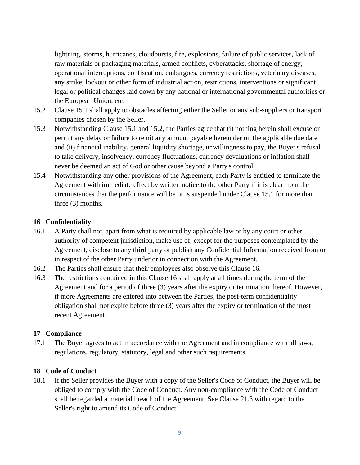lightning, storms, hurricanes, cloudbursts, fire, explosions, failure of public services, lack of raw materials or packaging materials, armed conflicts, cyberattacks, shortage of energy, operational interruptions, confiscation, embargoes, currency restrictions, veterinary diseases, any strike, lockout or other form of industrial action, restrictions, interventions or significant legal or political changes laid down by any national or international governmental authorities or the European Union, etc.

- <span id="page-8-0"></span>15.2 Clause [15.1](#page-7-1) shall apply to obstacles affecting either the Seller or any sub-suppliers or transport companies chosen by the Seller.
- 15.3 Notwithstanding Clause [15.1](#page-7-1) and [15.2,](#page-8-0) the Parties agree that (i) nothing herein shall excuse or permit any delay or failure to remit any amount payable hereunder on the applicable due date and (ii) financial inability, general liquidity shortage, unwillingness to pay, the Buyer's refusal to take delivery, insolvency, currency fluctuations, currency devaluations or inflation shall never be deemed an act of God or other cause beyond a Party's control.
- 15.4 Notwithstanding any other provisions of the Agreement, each Party is entitled to terminate the Agreement with immediate effect by written notice to the other Party if it is clear from the circumstances that the performance will be or is suspended under Clause [15.1](#page-7-1) for more than three (3) months.

# <span id="page-8-1"></span>**16 Confidentiality**

- 16.1 A Party shall not, apart from what is required by applicable law or by any court or other authority of competent jurisdiction, make use of, except for the purposes contemplated by the Agreement, disclose to any third party or publish any Confidential Information received from or in respect of the other Party under or in connection with the Agreement.
- 16.2 The Parties shall ensure that their employees also observe this Clause [16.](#page-8-1)
- 16.3 The restrictions contained in this Clause [16](#page-8-1) shall apply at all times during the term of the Agreement and for a period of three (3) years after the expiry or termination thereof. However, if more Agreements are entered into between the Parties, the post-term confidentiality obligation shall not expire before three (3) years after the expiry or termination of the most recent Agreement.

## **17 Compliance**

17.1 The Buyer agrees to act in accordance with the Agreement and in compliance with all laws, regulations, regulatory, statutory, legal and other such requirements.

## **18 Code of Conduct**

18.1 If the Seller provides the Buyer with a copy of the Seller's Code of Conduct, the Buyer will be obliged to comply with the Code of Conduct. Any non-compliance with the Code of Conduct shall be regarded a material breach of the Agreement. See Clause [21.3](#page-10-0) with regard to the Seller's right to amend its Code of Conduct.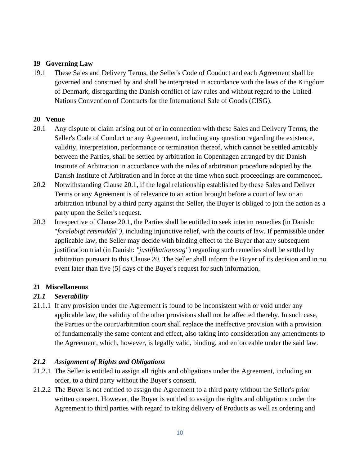# <span id="page-9-0"></span>**19 Governing Law**

19.1 These Sales and Delivery Terms, the Seller's Code of Conduct and each Agreement shall be governed and construed by and shall be interpreted in accordance with the laws of the Kingdom of Denmark, disregarding the Danish conflict of law rules and without regard to the United Nations Convention of Contracts for the International Sale of Goods (CISG).

## <span id="page-9-1"></span>**20 Venue**

- <span id="page-9-2"></span>20.1 Any dispute or claim arising out of or in connection with these Sales and Delivery Terms, the Seller's Code of Conduct or any Agreement, including any question regarding the existence, validity, interpretation, performance or termination thereof, which cannot be settled amicably between the Parties, shall be settled by arbitration in Copenhagen arranged by the Danish Institute of Arbitration in accordance with the rules of arbitration procedure adopted by the Danish Institute of Arbitration and in force at the time when such proceedings are commenced.
- 20.2 Notwithstanding Clause [20.1,](#page-9-2) if the legal relationship established by these Sales and Deliver Terms or any Agreement is of relevance to an action brought before a court of law or an arbitration tribunal by a third party against the Seller, the Buyer is obliged to join the action as a party upon the Seller's request.
- 20.3 Irrespective of Clause [20.1,](#page-9-2) the Parties shall be entitled to seek interim remedies (in Danish: "*foreløbigt retsmiddel")*, including injunctive relief, with the courts of law. If permissible under applicable law, the Seller may decide with binding effect to the Buyer that any subsequent justification trial (in Danish: *"justifikationssag"*) regarding such remedies shall be settled by arbitration pursuant to this Clause [20.](#page-9-1) The Seller shall inform the Buyer of its decision and in no event later than five (5) days of the Buyer's request for such information,

#### **21 Miscellaneous**

## *21.1 Severability*

21.1.1 If any provision under the Agreement is found to be inconsistent with or void under any applicable law, the validity of the other provisions shall not be affected thereby. In such case, the Parties or the court/arbitration court shall replace the ineffective provision with a provision of fundamentally the same content and effect, also taking into consideration any amendments to the Agreement, which, however, is legally valid, binding, and enforceable under the said law.

## *21.2 Assignment of Rights and Obligations*

- 21.2.1 The Seller is entitled to assign all rights and obligations under the Agreement, including an order, to a third party without the Buyer's consent.
- 21.2.2 The Buyer is not entitled to assign the Agreement to a third party without the Seller's prior written consent. However, the Buyer is entitled to assign the rights and obligations under the Agreement to third parties with regard to taking delivery of Products as well as ordering and